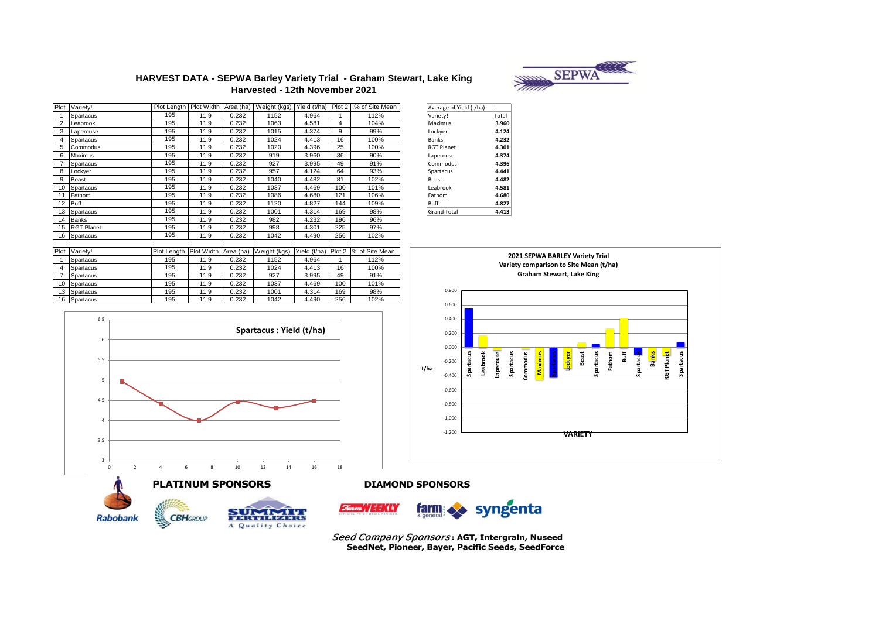

#### **HARVEST DATA - SEPWA Barley Variety Trial - Graham Stewart, Lake King Harvested - 12th November 2021**

|    | Plot Variety!     | Plot Length   Plot Width |      | Area (ha) | Weight (kgs) | Yield (t/ha) | Plot 2 | % of Site Mean | Average of Yield (t/ha) |       |
|----|-------------------|--------------------------|------|-----------|--------------|--------------|--------|----------------|-------------------------|-------|
|    | Spartacus         | 195                      | 11.9 | 0.232     | 1152         | 4.964        |        | 112%           | Variety!                | Total |
| 2  | Leabrook          | 195                      | 11.9 | 0.232     | 1063         | 4.581        | 4      | 104%           | Maximus                 | 3.960 |
| 3  | Laperouse         | 195                      | 11.9 | 0.232     | 1015         | 4.374        | 9      | 99%            | Lockyer                 | 4.124 |
| 4  | Spartacus         | 195                      | 11.9 | 0.232     | 1024         | 4.413        | 16     | 100%           | Banks                   | 4.232 |
| 5  | Commodus          | 195                      | 11.9 | 0.232     | 1020         | 4.396        | 25     | 100%           | <b>RGT Planet</b>       | 4.301 |
| 6  | Maximus           | 195                      | 11.9 | 0.232     | 919          | 3.960        | 36     | 90%            | Laperouse               | 4.374 |
|    | Spartacus         | 195                      | 11.9 | 0.232     | 927          | 3.995        | 49     | 91%            | Commodus                | 4.396 |
| 8  | Lockver           | 195                      | 11.9 | 0.232     | 957          | 4.124        | 64     | 93%            | Spartacus               | 4.441 |
| 9  | <b>Beast</b>      | 195                      | 11.9 | 0.232     | 1040         | 4.482        | 81     | 102%           | Beast                   | 4.482 |
|    | 10 Spartacus      | 195                      | 11.9 | 0.232     | 1037         | 4.469        | 100    | 101%           | Leabrook                | 4.581 |
| 11 | Fathom            | 195                      | 11.9 | 0.232     | 1086         | 4.680        | 121    | 106%           | Fathom                  | 4.680 |
| 12 | Buff              | 195                      | 11.9 | 0.232     | 1120         | 4.827        | 144    | 109%           | Buff                    | 4.827 |
| 13 | Spartacus         | 195                      | 11.9 | 0.232     | 1001         | 4.314        | 169    | 98%            | <b>Grand Total</b>      | 4.413 |
| 14 | <b>Banks</b>      | 195                      | 11.9 | 0.232     | 982          | 4.232        | 196    | 96%            |                         |       |
| 15 | <b>RGT Planet</b> | 195                      | 11.9 | 0.232     | 998          | 4.301        | 225    | 97%            |                         |       |
|    | 16 Spartacus      | 195                      | 11.9 | 0.232     | 1042         | 4.490        | 256    | 102%           |                         |       |

| Average of Yield (t/ha) |       |
|-------------------------|-------|
| Variety!                | Total |
| Maximus                 | 3.960 |
| Lockyer                 | 4.124 |
| Banks                   | 4.232 |
| <b>RGT Planet</b>       | 4.301 |
| Laperouse               | 4.374 |
| Commodus                | 4.396 |
| Spartacus               | 4.441 |
| Beast                   | 4.482 |
| Leabrook                | 4.581 |
| Fathom                  | 4.680 |
| Buff                    | 4.827 |
| <b>Grand Total</b>      | 4.413 |

|    | Plot Variety! | Plot Lenath | <b>Plot Width</b> | Area (ha) | Weight (kgs) | Yield (t/ha) | Plot 2 | % of Site Mean |
|----|---------------|-------------|-------------------|-----------|--------------|--------------|--------|----------------|
|    | Spartacus     | 195         | 11.9              | 0.232     | 1152         | 4.964        |        | 112%           |
|    | Spartacus     | 195         | 11.9              | 0.232     | 1024         | 4.413        | 16     | 100%           |
|    | Spartacus     | 195         | 11.9              | 0.232     | 927          | 3.995        | 49     | 91%            |
| 10 | Spartacus     | 195         | 11.9              | 0.232     | 1037         | 4.469        | 100    | 101%           |
| 13 | Spartacus     | 195         | 11.9              | 0.232     | 1001         | 4.314        | 169    | 98%            |
|    | 16 Spartacus  | 195         | 11.9              | 0.232     | 1042         | 4.490        | 256    | 102%           |
|    |               |             |                   |           |              |              |        |                |





**2021 SEPWA BARLEY Variety Trial Variety comparison to Site Mean (t/ha)** 

#### **DIAMOND SPONSORS**







Seed Company Sponsors: AGT, Intergrain, Nuseed SeedNet, Pioneer, Bayer, Pacific Seeds, SeedForce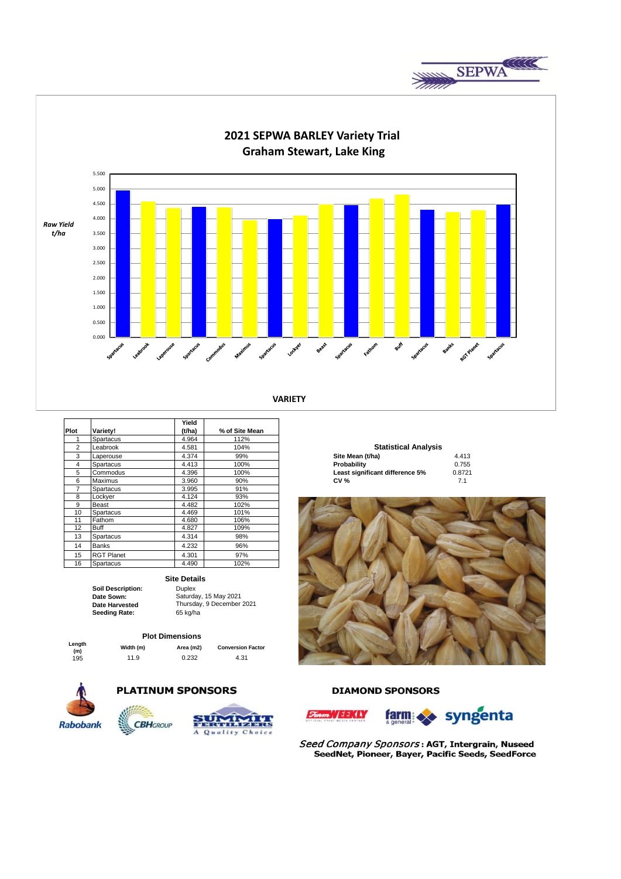



|                |                   | Yield  |                |                                 |        |
|----------------|-------------------|--------|----------------|---------------------------------|--------|
| Plot           | Variety!          | (t/ha) | % of Site Mean |                                 |        |
|                | Spartacus         | 4.964  | 112%           |                                 |        |
| $\overline{2}$ | Leabrook          | 4.581  | 104%           | <b>Statistical Analysis</b>     |        |
| 3              | Laperouse         | 4.374  | 99%            | Site Mean (t/ha)                | 4.413  |
| 4              | Spartacus         | 4.413  | 100%           | Probability                     | 0.755  |
| 5              | Commodus          | 4.396  | 100%           | Least significant difference 5% | 0.8721 |
| 6              | Maximus           | 3.960  | 90%            | <b>CV %</b>                     | 7.1    |
| 7              | Spartacus         | 3.995  | 91%            |                                 |        |
| 8              | Lockyer           | 4.124  | 93%            |                                 |        |
| 9              | <b>Beast</b>      | 4.482  | 102%           |                                 |        |
| 10             | Spartacus         | 4.469  | 101%           |                                 |        |
| 11             | Fathom            | 4.680  | 106%           |                                 |        |
| 12             | Buff              | 4.827  | 109%           |                                 |        |
| 13             | Spartacus         | 4.314  | 98%            |                                 |        |
| 14             | <b>Banks</b>      | 4.232  | 96%            |                                 |        |
| 15             | <b>RGT Planet</b> | 4.301  | 97%            |                                 |        |
| 16             | Spartacus         | 4.490  | 102%           |                                 |        |

#### **Site Details**

**Date Sown: Date Harvested Seeding Rate:** 65 kg/ha

**Soil Description:** Duplex

# Saturday, 15 May 2021 Thursday, 9 December 2021

#### **Plot Dimensions**

| Length | w |
|--------|---|
| (m)    |   |
| 195    |   |
|        |   |

**(m) Width (m) Area (m2) Conversion Factor** 195 11.9 0.232 4.31



## **PLATINUM SPONSORS**





### **DIAMOND SPONSORS**





Seed Company Sponsors: AGT, Intergrain, Nuseed SeedNet, Pioneer, Bayer, Pacific Seeds, SeedForce

# **Site Mean (t/ha)** 4.413<br>**Probability** 0.755 **Statistical Analysis**

| Probability                     | 0.7  |
|---------------------------------|------|
| Least significant difference 5% | 0.87 |
| <b>CV %</b>                     | 7.   |